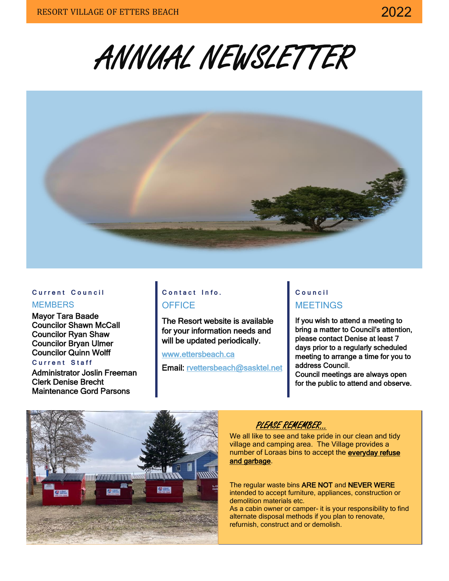ANNUAL NEWSLETTER



#### **C u r r e n t C o u n c i l**

#### **MEMBERS**

Mayor Tara Baade Councilor Shawn McCall Councilor Ryan Shaw Councilor Bryan Ulmer Councilor Quinn Wolff

#### **C u r r e n t S t a f f**

Administrator Joslin Freeman Clerk Denise Brecht Maintenance Gord Parsons

# **Contact Info.**

**OFFICE** 

The Resort website is available for your information needs and will be updated periodically.

[www.ettersbeach.ca](http://www.ettersbeach.ca/) 

Email: [rvettersbeach@sasktel.net](mailto:rvettersbeach@sasktel.net) 

# **C o u n c i l** MEETINGS

If you wish to attend a meeting to bring a matter to Council's attention, please contact Denise at least 7 days prior to a regularly scheduled meeting to arrange a time for you to address Council. Council meetings are always open

for the public to attend and observe.



# PLEASE REMEMBER…

We all like to see and take pride in our clean and tidy village and camping area. The Village provides a number of Loraas bins to accept the everyday refuse and garbage.

The regular waste bins ARE NOT and NEVER WERE intended to accept furniture, appliances, construction or demolition materials etc. As a cabin owner or camper- it is your responsibility to find

alternate disposal methods if you plan to renovate, refurnish, construct and or demolish.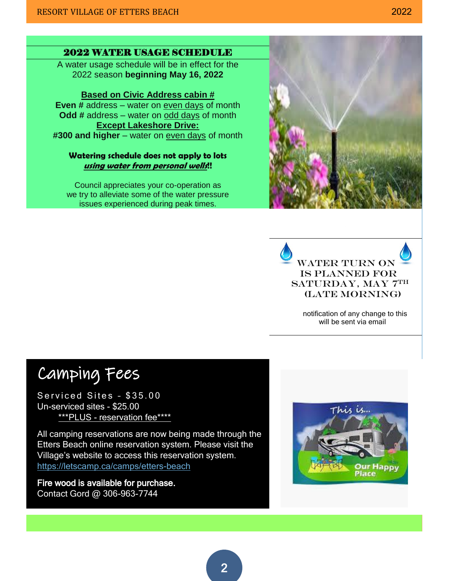### 2022 WATER USAGE SCHEDULE

A water usage schedule will be in effect for the 2022 season **beginning May 16, 2022**

#### **Based on Civic Address cabin #**

**Even #** address – water on even days of month **Odd #** address – water on odd days of month **Except Lakeshore Drive: #300 and higher** – water on even days of month

#### **Watering schedule does not apply to lots using water from personal wells!!**

Council appreciates your co-operation as we try to alleviate some of the water pressure issues experienced during peak times.





 notification of any change to this will be sent via email

# Camping Fees

Serviced Sites - \$35.00 Un-serviced sites - \$25.00 \*\*\*PLUS - reservation fee\*\*\*\*

All camping reservations are now being made through the Etters Beach online reservation system. Please visit the Village's website to access this reservation system. <https://letscamp.ca/camps/etters-beach>

Fire wood is available for purchase. Contact Gord @ 306-963-7744

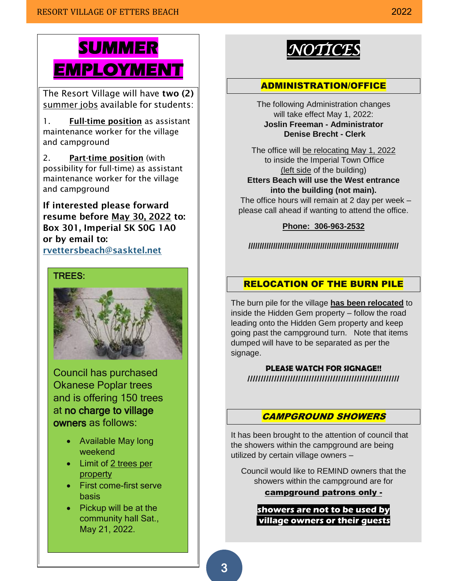# **SUMMER EMPLOYMENT**

The Resort Village will have two (2) summer jobs available for students:

1. Full-time position as assistant maintenance worker for the village and campground

2. Part-time position (with possibility for full-time) as assistant maintenance worker for the village and campground

If interested please forward resume before May 30, 2022 to: Box 301, Imperial SK S0G 1A0 or by email to: [rvettersbeach@sasktel.net](mailto:rvettersbeach@sasktel.net)

#### TREES:



Council has purchased Okanese Poplar trees and is offering 150 trees at no charge to village owners as follows:

- Available May long weekend
- Limit of 2 trees per property
- First come-first serve basis
- Pickup will be at the community hall Sat., May 21, 2022.



## ADMINISTRATION/OFFICE

The following Administration changes will take effect May 1, 2022: **Joslin Freeman - Administrator Denise Brecht - Clerk**

The office will be relocating May 1, 2022 to inside the Imperial Town Office (left side of the building) **Etters Beach will use the West entrance into the building (not main).**

 The office hours will remain at 2 day per week – please call ahead if wanting to attend the office.

#### **Phone: 306-963-2532**

**///////////////////////////////////////////////////////////////////**

## RELOCATION OF THE BURN PILE

The burn pile for the village **has been relocated** to inside the Hidden Gem property – follow the road leading onto the Hidden Gem property and keep going past the campground turn. Note that items dumped will have to be separated as per the signage.

**PLEASE WATCH FOR SIGNAGE!! /////////////////////////////////////////////////////////**

## CAMPGROUND SHOWERS

It has been brought to the attention of council that the showers within the campground are being utilized by certain village owners –

Council would like to REMIND owners that the showers within the campground are for

#### campground patrons only -

**showers are not to be used by village owners or their guests**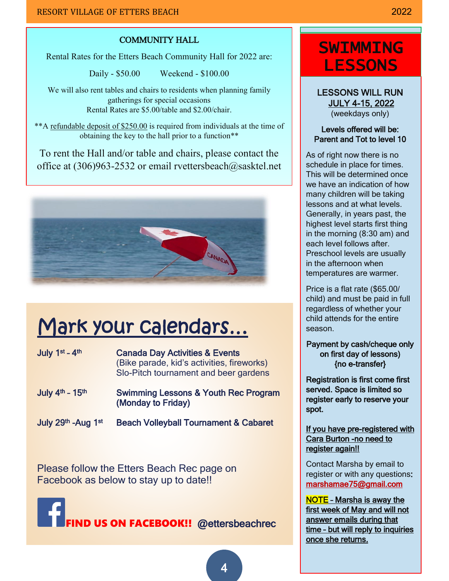### COMMUNITY HALL

Rental Rates for the Etters Beach Community Hall for 2022 are:

Daily - \$50.00 Weekend - \$100.00

We will also rent tables and chairs to residents when planning family gatherings for special occasions Rental Rates are \$5.00/table and \$2.00/chair.

\*\*A refundable deposit of \$250.00 is required from individuals at the time of obtaining the key to the hall prior to a function\*\*

To rent the Hall and/or table and chairs, please contact the office at (306)963-2532 or email rvettersbeach@sasktel.net



# Mark your calendars…

| July $1st - 4th$ | <b>Canada Day Activities &amp; Events</b>  |
|------------------|--------------------------------------------|
|                  | (Bike parade, kid's activities, fireworks) |
|                  | Slo-Pitch tournament and beer gardens      |
|                  |                                            |

- July 4<sup>th</sup> 15<sup>th</sup> Swimming Lessons & Youth Rec Program (Monday to Friday)
- July 29<sup>th</sup> -Aug 1st Beach Volleyball Tournament & Cabaret

Please follow the Etters Beach Rec page on Facebook as below to stay up to date!!



# **SWIMMING LESSONS**

LESSONS WILL RUN JULY 4-15, 2022

(weekdays only)

### Levels offered will be: Parent and Tot to level 10

As of right now there is no schedule in place for times. This will be determined once we have an indication of how many children will be taking lessons and at what levels. Generally, in years past, the highest level starts first thing in the morning (8:30 am) and each level follows after. Preschool levels are usually in the afternoon when temperatures are warmer.

Price is a flat rate (\$65.00/ child) and must be paid in full regardless of whether your child attends for the entire season.

Payment by cash/cheque only on first day of lessons) {no e-transfer}

Registration is first come first served. Space is limited so register early to reserve your spot.

If you have pre-registered with Cara Burton -no need to register again!!

Contact Marsha by email to register or with any questions: [marshamae75@gmail.com](mailto:marshamae75@gmail.com) 

NOTE – Marsha is away the first week of May and will not answer emails during that time – but will reply to inquiries once she returns.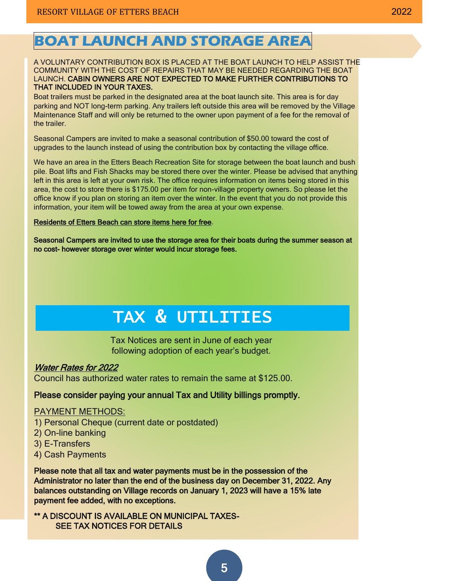#### A VOLUNTARY CONTRIBUTION BOX IS PLACED AT THE BOAT LAUNCH TO HELP ASSIST THE COMMUNITY WITH THE COST OF REPAIRS THAT MAY BE NEEDED REGARDING THE BOAT LAUNCH. CABIN OWNERS ARE NOT EXPECTED TO MAKE FURTHER CONTRIBUTIONS TO THAT INCLUDED IN YOUR TAXES.

Boat trailers must be parked in the designated area at the boat launch site. This area is for day parking and NOT long-term parking. Any trailers left outside this area will be removed by the Village Maintenance Staff and will only be returned to the owner upon payment of a fee for the removal of the trailer.

Seasonal Campers are invited to make a seasonal contribution of \$50.00 toward the cost of upgrades to the launch instead of using the contribution box by contacting the village office.

We have an area in the Etters Beach Recreation Site for storage between the boat launch and bush pile. Boat lifts and Fish Shacks may be stored there over the winter. Please be advised that anything left in this area is left at your own risk. The office requires information on items being stored in this area, the cost to store there is \$175.00 per item for non-village property owners. So please let the office know if you plan on storing an item over the winter. In the event that you do not provide this information, your item will be towed away from the area at your own expense.

#### Residents of Etters Beach can store items here for free.

Seasonal Campers are invited to use the storage area for their boats during the summer season at no cost- however storage over winter would incur storage fees.

# TAX & UTILITIES

Tax Notices are sent in June of each year following adoption of each year's budget.

#### Water Rates for 2022

Council has authorized water rates to remain the same at \$125.00.

#### Please consider paying your annual Tax and Utility billings promptly.

### PAYMENT METHODS:

- 1) Personal Cheque (current date or postdated)
- 2) On-line banking
- 3) E-Transfers
- 4) Cash Payments

Please note that all tax and water payments must be in the possession of the Administrator no later than the end of the business day on December 31, 2022. Any balances outstanding on Village records on January 1, 2023 will have a 15% late payment fee added, with no exceptions.

\*\* A DISCOUNT IS AVAILABLE ON MUNICIPAL TAXES- SEE TAX NOTICES FOR DETAILS